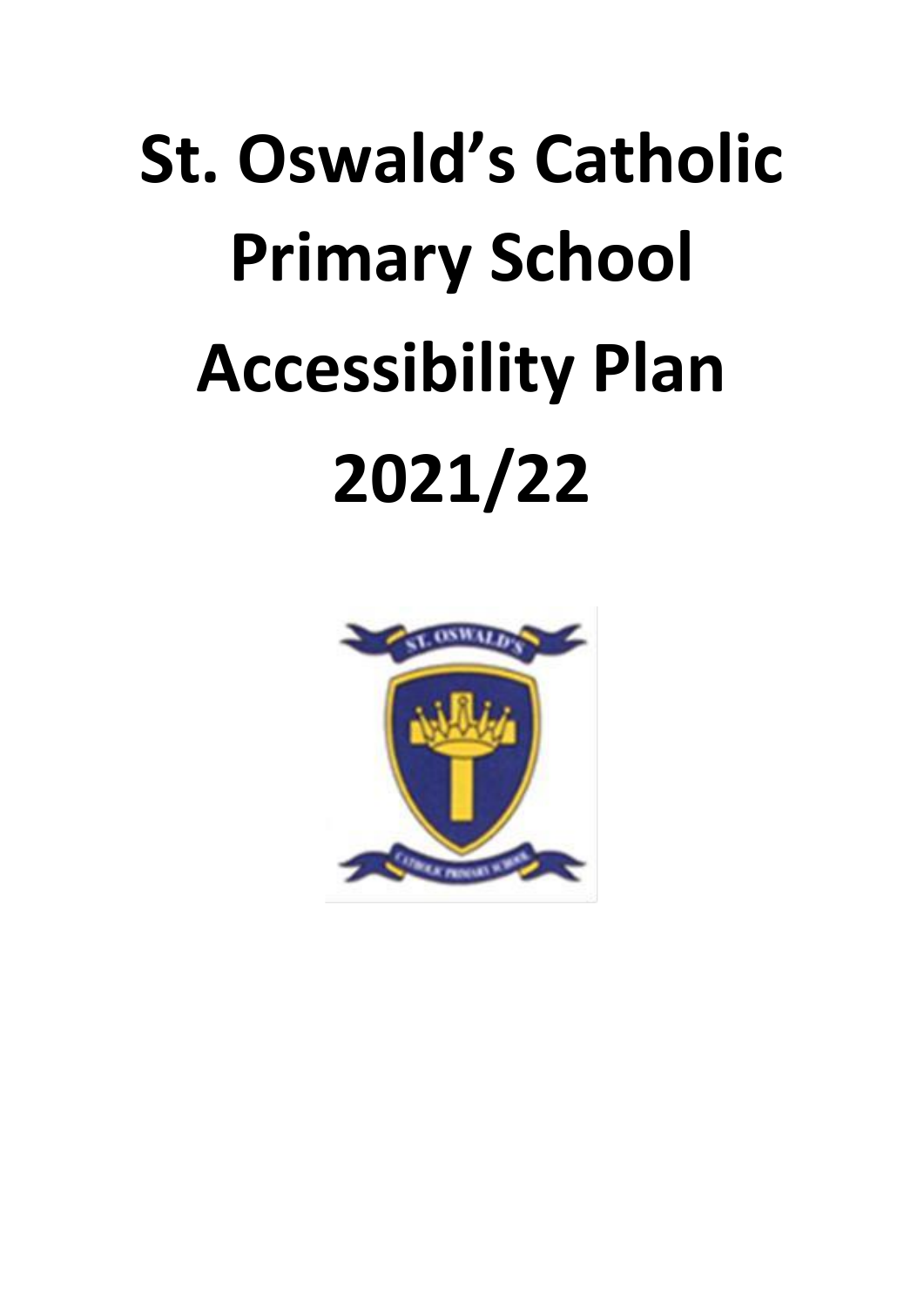# **St. Oswald's Catholic Primary School Accessibility Plan 2021/22**

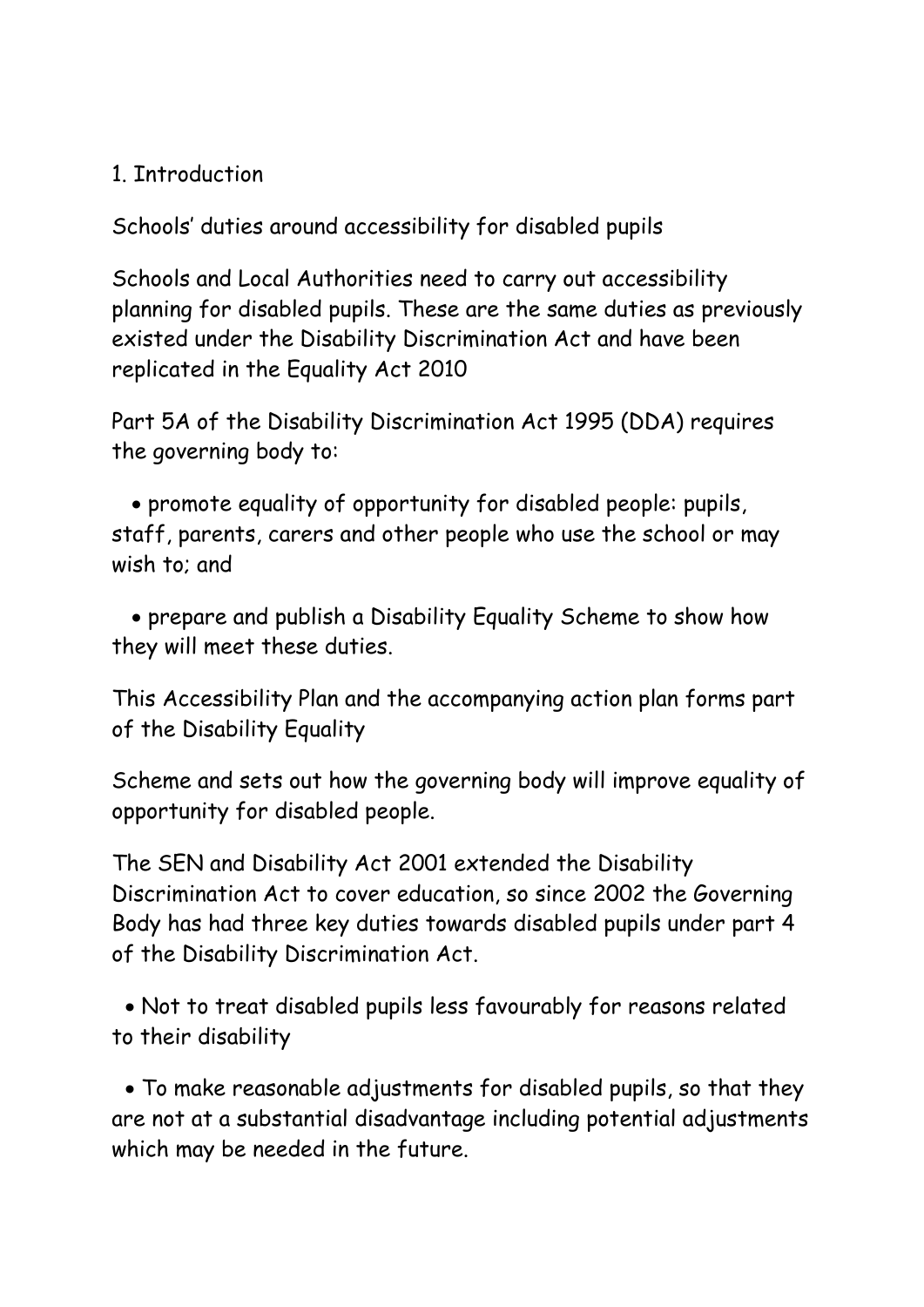#### 1. Introduction

Schools' duties around accessibility for disabled pupils

Schools and Local Authorities need to carry out accessibility planning for disabled pupils. These are the same duties as previously existed under the Disability Discrimination Act and have been replicated in the Equality Act 2010

Part 5A of the Disability Discrimination Act 1995 (DDA) requires the governing body to:

 promote equality of opportunity for disabled people: pupils, staff, parents, carers and other people who use the school or may wish to; and

 prepare and publish a Disability Equality Scheme to show how they will meet these duties.

This Accessibility Plan and the accompanying action plan forms part of the Disability Equality

Scheme and sets out how the governing body will improve equality of opportunity for disabled people.

The SEN and Disability Act 2001 extended the Disability Discrimination Act to cover education, so since 2002 the Governing Body has had three key duties towards disabled pupils under part 4 of the Disability Discrimination Act.

 Not to treat disabled pupils less favourably for reasons related to their disability

 To make reasonable adjustments for disabled pupils, so that they are not at a substantial disadvantage including potential adjustments which may be needed in the future.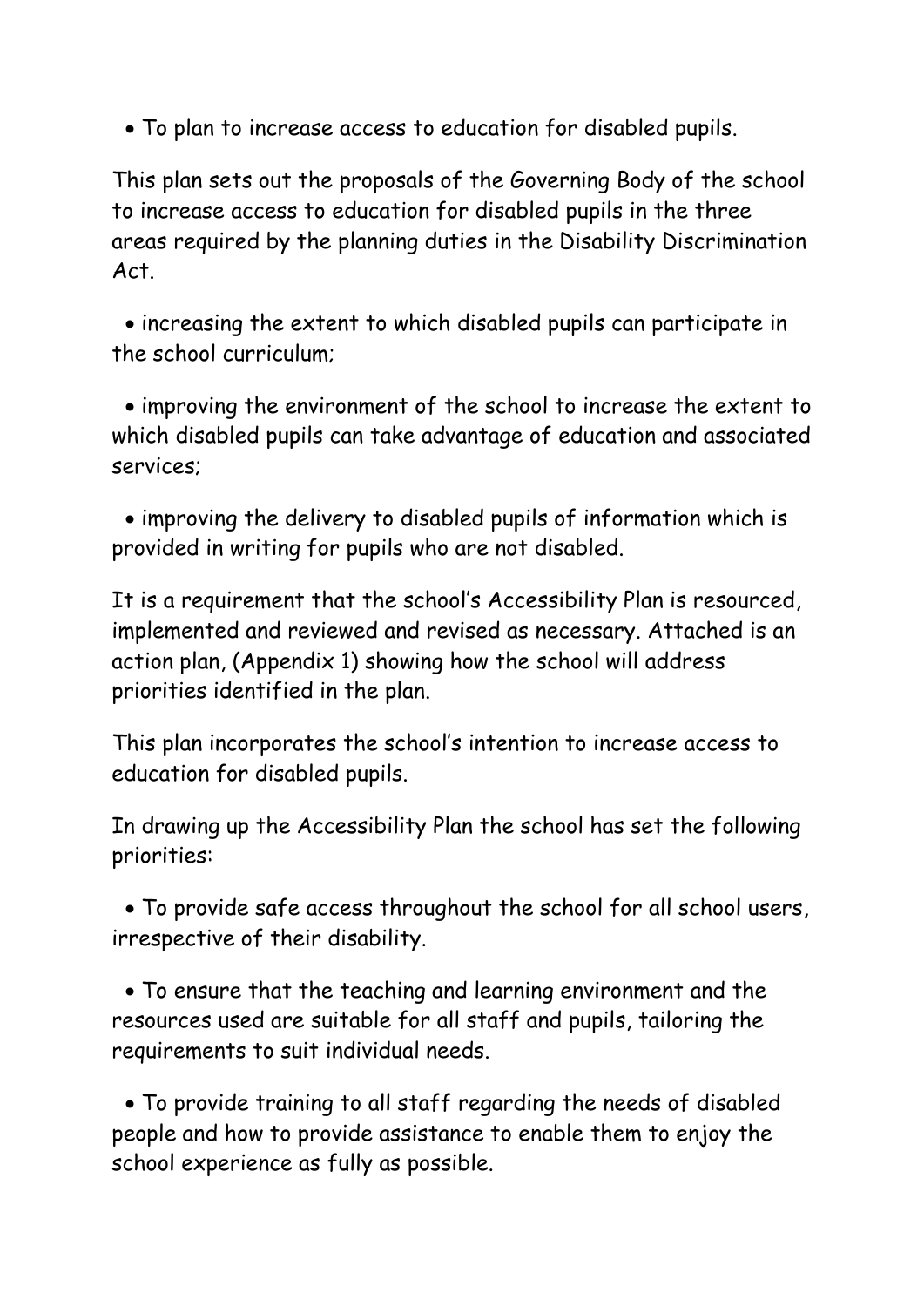To plan to increase access to education for disabled pupils.

This plan sets out the proposals of the Governing Body of the school to increase access to education for disabled pupils in the three areas required by the planning duties in the Disability Discrimination Act.

 increasing the extent to which disabled pupils can participate in the school curriculum;

 improving the environment of the school to increase the extent to which disabled pupils can take advantage of education and associated services;

 improving the delivery to disabled pupils of information which is provided in writing for pupils who are not disabled.

It is a requirement that the school's Accessibility Plan is resourced, implemented and reviewed and revised as necessary. Attached is an action plan, (Appendix 1) showing how the school will address priorities identified in the plan.

This plan incorporates the school's intention to increase access to education for disabled pupils.

In drawing up the Accessibility Plan the school has set the following priorities:

 To provide safe access throughout the school for all school users, irrespective of their disability.

 To ensure that the teaching and learning environment and the resources used are suitable for all staff and pupils, tailoring the requirements to suit individual needs.

 To provide training to all staff regarding the needs of disabled people and how to provide assistance to enable them to enjoy the school experience as fully as possible.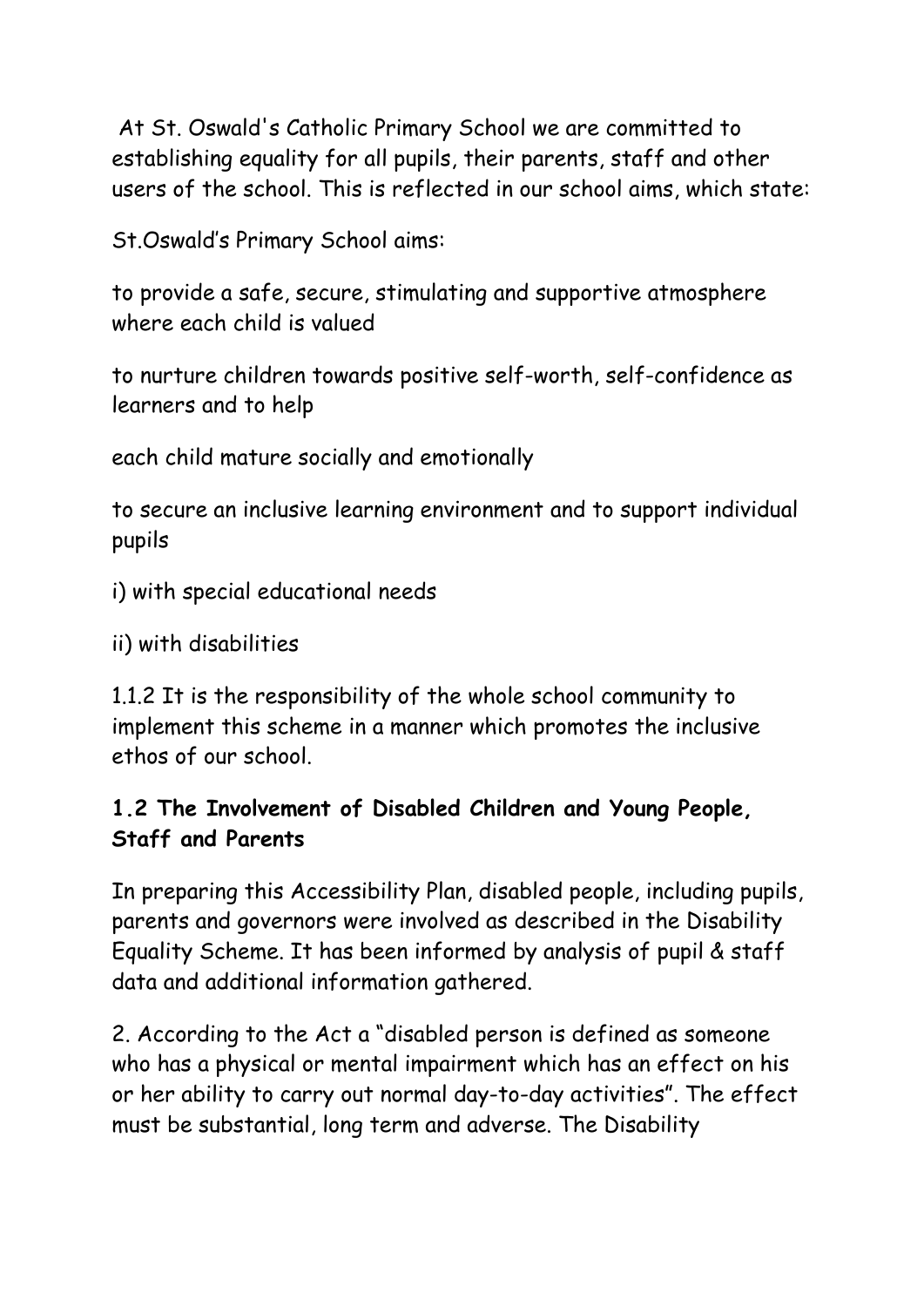At St. Oswald's Catholic Primary School we are committed to establishing equality for all pupils, their parents, staff and other users of the school. This is reflected in our school aims, which state:

St.Oswald's Primary School aims:

to provide a safe, secure, stimulating and supportive atmosphere where each child is valued

to nurture children towards positive self-worth, self-confidence as learners and to help

each child mature socially and emotionally

to secure an inclusive learning environment and to support individual pupils

i) with special educational needs

ii) with disabilities

1.1.2 It is the responsibility of the whole school community to implement this scheme in a manner which promotes the inclusive ethos of our school.

### **1.2 The Involvement of Disabled Children and Young People, Staff and Parents**

In preparing this Accessibility Plan, disabled people, including pupils, parents and governors were involved as described in the Disability Equality Scheme. It has been informed by analysis of pupil & staff data and additional information gathered.

2. According to the Act a "disabled person is defined as someone who has a physical or mental impairment which has an effect on his or her ability to carry out normal day-to-day activities". The effect must be substantial, long term and adverse. The Disability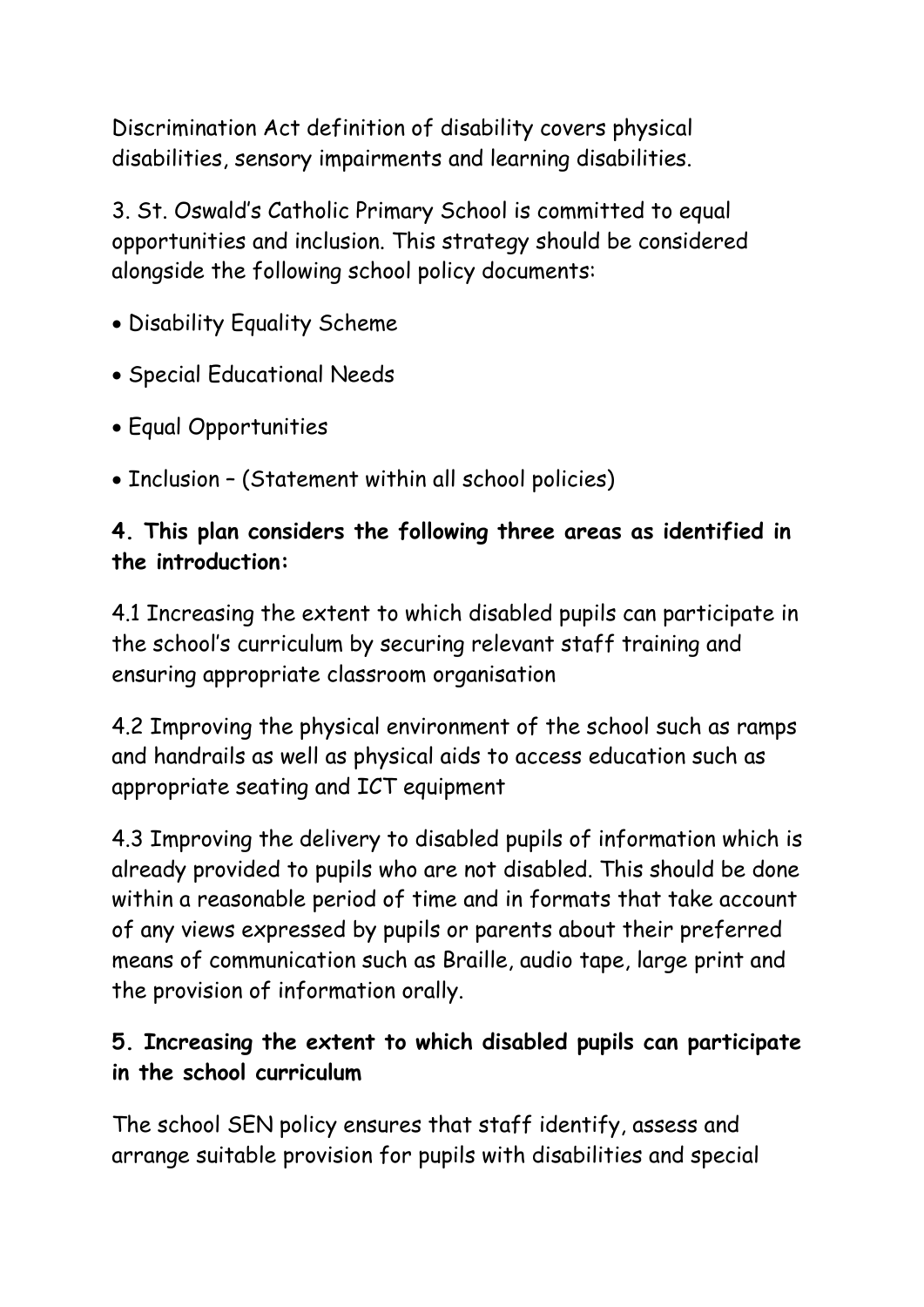Discrimination Act definition of disability covers physical disabilities, sensory impairments and learning disabilities.

3. St. Oswald's Catholic Primary School is committed to equal opportunities and inclusion. This strategy should be considered alongside the following school policy documents:

- Disability Equality Scheme
- Special Educational Needs
- Equal Opportunities
- Inclusion (Statement within all school policies)

#### **4. This plan considers the following three areas as identified in the introduction:**

4.1 Increasing the extent to which disabled pupils can participate in the school's curriculum by securing relevant staff training and ensuring appropriate classroom organisation

4.2 Improving the physical environment of the school such as ramps and handrails as well as physical aids to access education such as appropriate seating and ICT equipment

4.3 Improving the delivery to disabled pupils of information which is already provided to pupils who are not disabled. This should be done within a reasonable period of time and in formats that take account of any views expressed by pupils or parents about their preferred means of communication such as Braille, audio tape, large print and the provision of information orally.

### **5. Increasing the extent to which disabled pupils can participate in the school curriculum**

The school SEN policy ensures that staff identify, assess and arrange suitable provision for pupils with disabilities and special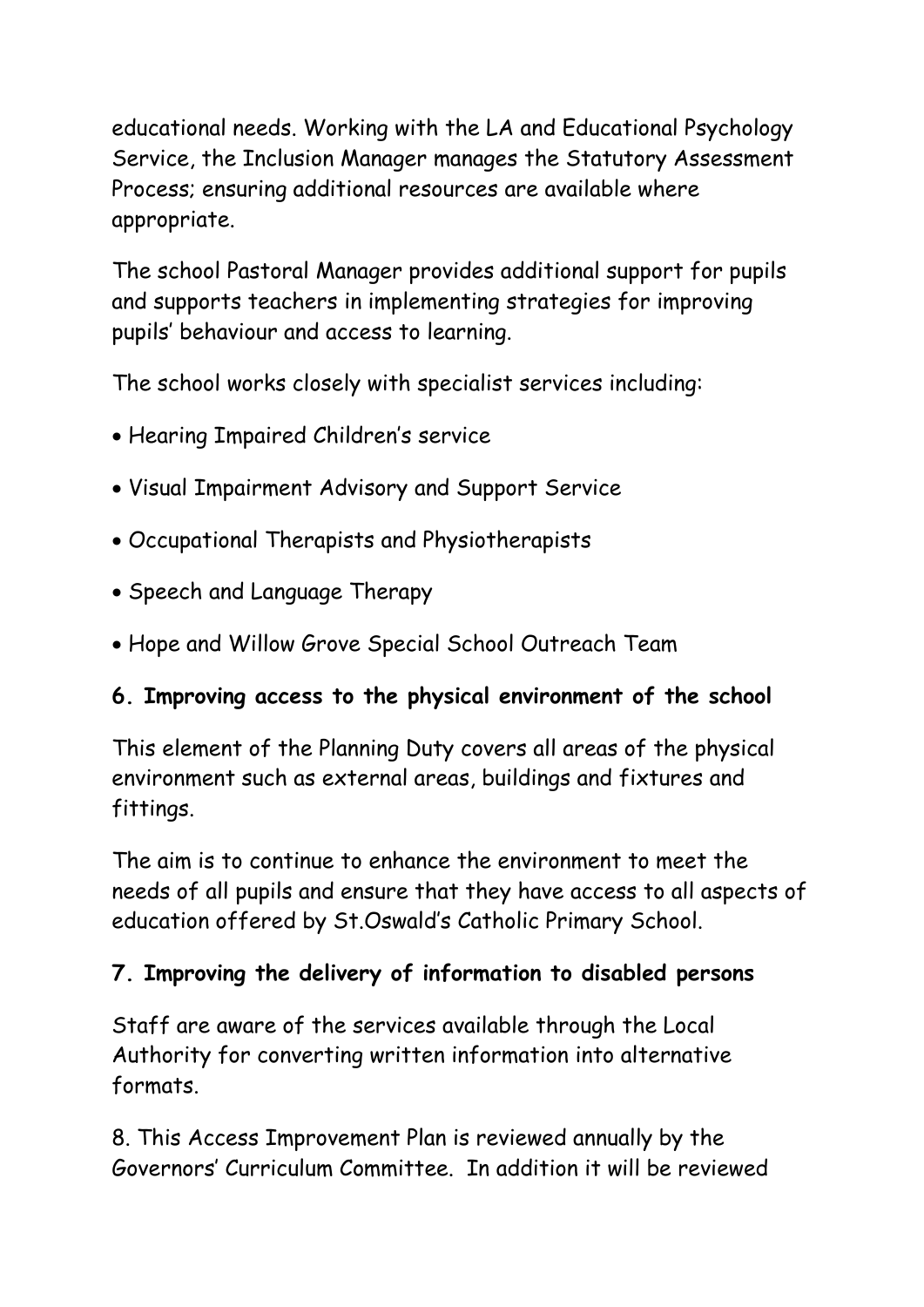educational needs. Working with the LA and Educational Psychology Service, the Inclusion Manager manages the Statutory Assessment Process; ensuring additional resources are available where appropriate.

The school Pastoral Manager provides additional support for pupils and supports teachers in implementing strategies for improving pupils' behaviour and access to learning.

The school works closely with specialist services including:

- Hearing Impaired Children's service
- Visual Impairment Advisory and Support Service
- Occupational Therapists and Physiotherapists
- Speech and Language Therapy
- Hope and Willow Grove Special School Outreach Team

## **6. Improving access to the physical environment of the school**

This element of the Planning Duty covers all areas of the physical environment such as external areas, buildings and fixtures and fittings.

The aim is to continue to enhance the environment to meet the needs of all pupils and ensure that they have access to all aspects of education offered by St.Oswald's Catholic Primary School.

## **7. Improving the delivery of information to disabled persons**

Staff are aware of the services available through the Local Authority for converting written information into alternative formats.

8. This Access Improvement Plan is reviewed annually by the Governors' Curriculum Committee. In addition it will be reviewed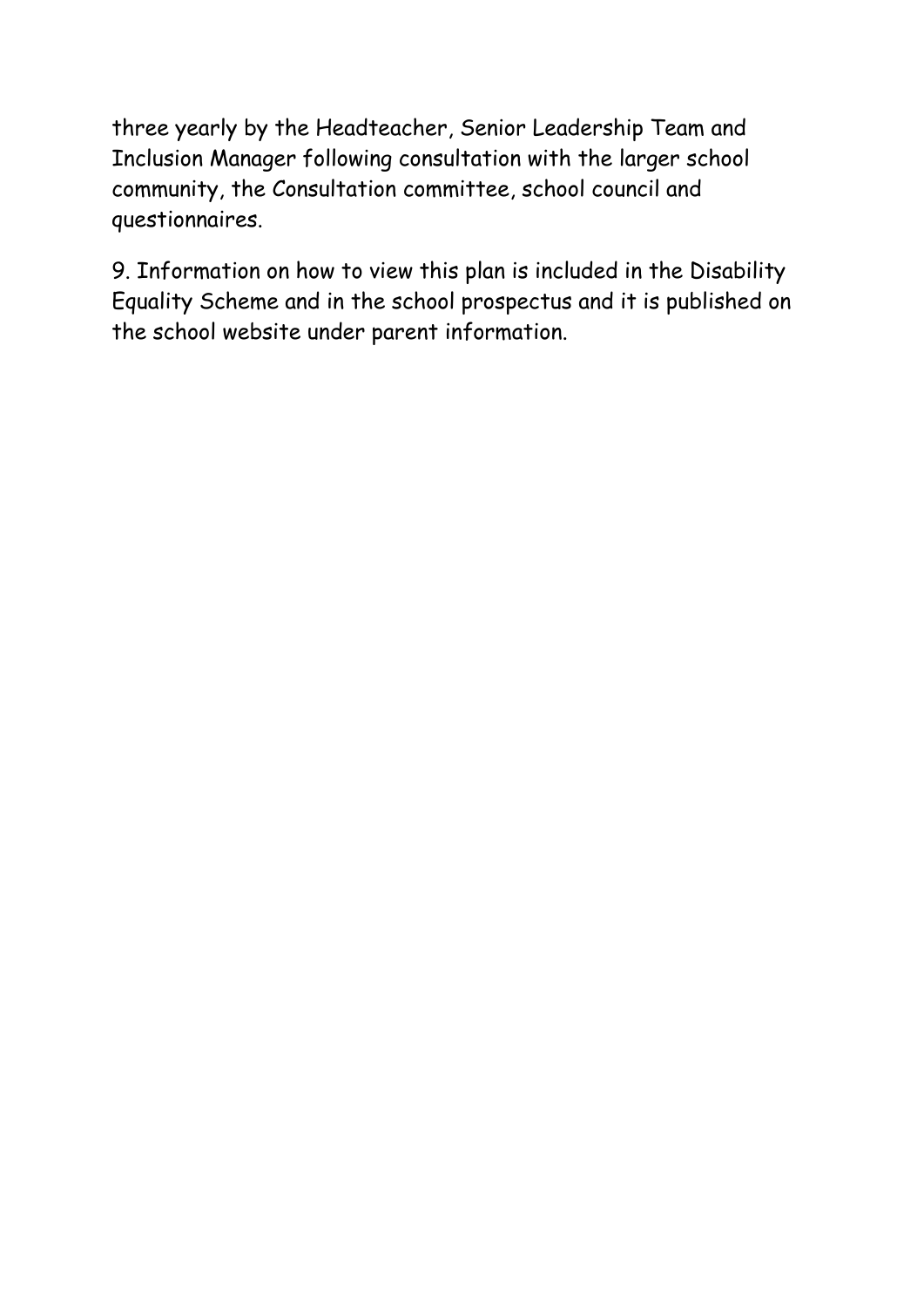three yearly by the Headteacher, Senior Leadership Team and Inclusion Manager following consultation with the larger school community, the Consultation committee, school council and questionnaires.

9. Information on how to view this plan is included in the Disability Equality Scheme and in the school prospectus and it is published on the school website under parent information.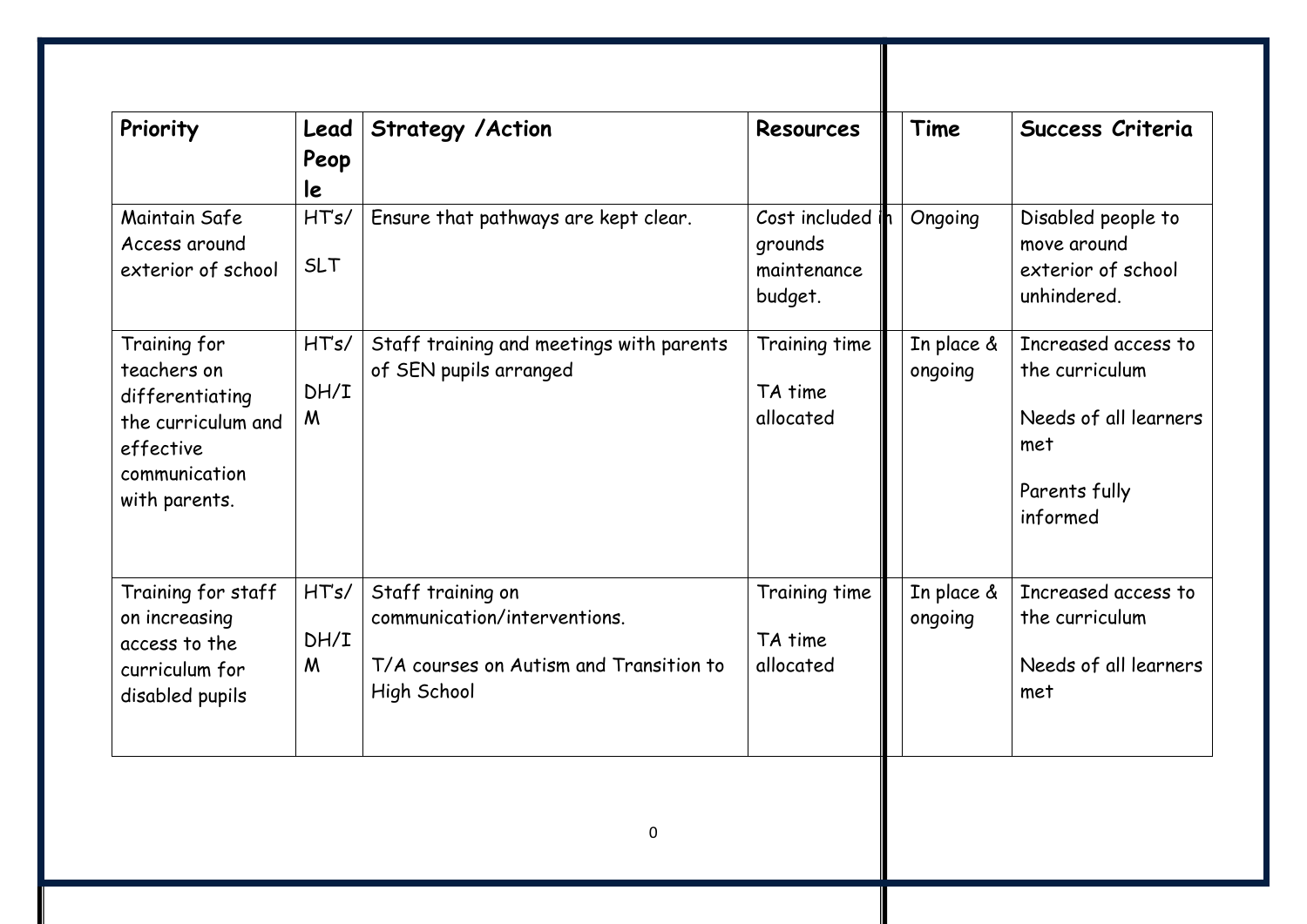| Priority                                                                                                            | Lead<br>Peop<br>le | <b>Strategy / Action</b>                                                                                    | <b>Resources</b>                                   | Time                  | Success Criteria                                                                                   |
|---------------------------------------------------------------------------------------------------------------------|--------------------|-------------------------------------------------------------------------------------------------------------|----------------------------------------------------|-----------------------|----------------------------------------------------------------------------------------------------|
| Maintain Safe<br>Access around<br>exterior of school                                                                | HTs/<br><b>SLT</b> | Ensure that pathways are kept clear.                                                                        | Cost included<br>grounds<br>maintenance<br>budget. | Ongoing               | Disabled people to<br>move around<br>exterior of school<br>unhindered.                             |
| Training for<br>teachers on<br>differentiating<br>the curriculum and<br>effective<br>communication<br>with parents. | HTs/<br>DH/I<br>M  | Staff training and meetings with parents<br>of SEN pupils arranged                                          | Training time<br>TA time<br>allocated              | In place &<br>ongoing | Increased access to<br>the curriculum<br>Needs of all learners<br>met<br>Parents fully<br>informed |
| Training for staff<br>on increasing<br>access to the<br>curriculum for<br>disabled pupils                           | HTs/<br>DH/I<br>M  | Staff training on<br>communication/interventions.<br>T/A courses on Autism and Transition to<br>High School | Training time<br>TA time<br>allocated              | In place &<br>ongoing | Increased access to<br>the curriculum<br>Needs of all learners<br>met                              |